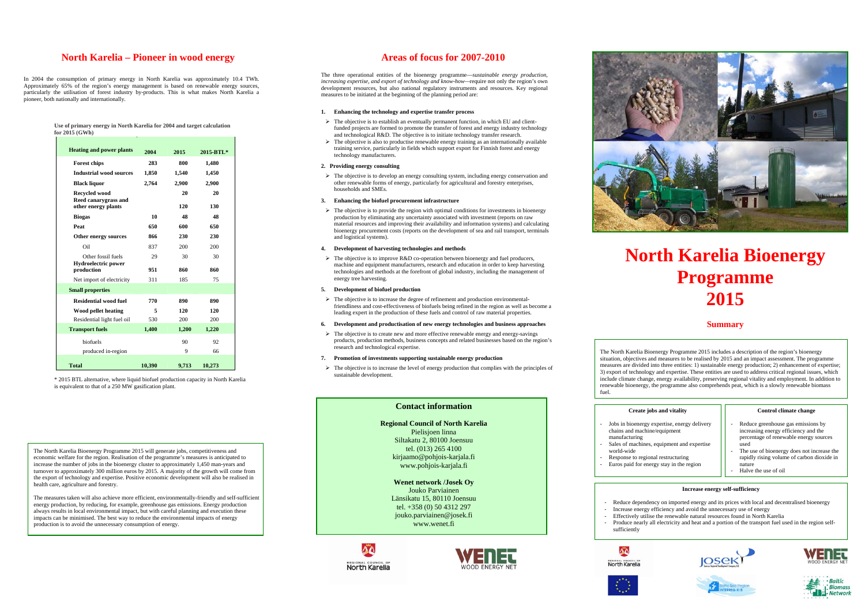# **North Karelia – Pioneer in wood energy**

In 2004 the consumption of primary energy in North Karelia was approximately 10.4 TWh. Approximately 65% of the region's energy management is based on renewable energy sources, particularly the utilisation of forest industry by-products. This is what makes North Karelia a pioneer, both nationally and internationally.

**Use of primary energy in North Karelia for 2004 and target calculation** 

**for 2015 (GWh)**

\* 2015 BTL alternative, where liquid biofuel production capacity in North Karelia is equivalent to that of a 250 MW gasification plant.

# **Areas of focus for 2007-2010**

- $\triangleright$  The objective is to establish an eventually permanent function, in which EU and clientfunded projects are formed to promote the transfer of forest and energy industry technology and technological R&D. The objective is to initiate technology transfer research.
- $\triangleright$  The objective is also to productise renewable energy training as an internationally available training service, particularly in fields which support export for Finnish forest and energy technology manufacturers.

The three operational entities of the bioenergy programme—*sustainable energy production, increasing expertise, and export of technology and know-how—*require not only the region's own development resources, but also national regulatory instruments and resources. Key regional measures to be initiated at the beginning of the planning period are:

 $\triangleright$  The objective is to develop an energy consulting system, including energy conservation and other renewable forms of energy, particularly for agricultural and forestry enterprises, households and SMEs.

# **1. Enhancing the technology and expertise transfer process**

 $\triangleright$  The objective is to improve R&D co-operation between bioenergy and fuel producers, machine and equipment manufacturers, research and education in order to keep harvesting technologies and methods at the forefront of global industry, including the management of energy tree harvesting.

 $\triangleright$  The objective is to increase the degree of refinement and production environmentalfriendliness and cost-effectiveness of biofuels being refined in the region as well as become a leading expert in the production of these fuels and control of raw material properties.

# **2. Providing energy consulting**

 $\triangleright$  The objective is to create new and more effective renewable energy and energy-savings products, production methods, business concepts and related businesses based on the region's research and technological expertise.

 $\triangleright$  The objective is to increase the level of energy production that complies with the principles of sustainable development.

# **3. Enhancing the biofuel procurement infrastructure**

 $\triangleright$  The objective is to provide the region with optimal conditions for investments in bioenergy production by eliminating any uncertainty associated with investment (reports on raw material resources and improving their availability and information systems) and calculating bioenergy procurement costs (reports on the development of sea and rail transport, terminals and logistical systems).

### **4. Development of harvesting technologies and methods**

### **5.Development of biofuel production**

# **6. Development and productisation of new energy technologies and business approaches**

### **7. Promotion of investments supporting sustainable energy production**

# **North Karelia Bioenergy Programme 2015**

# **Summary**

| <b>Heating and power plants</b>                  | 2004   | 2015  | 2015-BTL* |
|--------------------------------------------------|--------|-------|-----------|
| <b>Forest chips</b>                              | 283    | 800   | 1,480     |
| <b>Industrial wood sources</b>                   | 1,850  | 1,540 | 1,450     |
| <b>Black liquor</b>                              | 2,764  | 2,900 | 2,900     |
| <b>Recycled wood</b>                             |        | 20    | 20        |
| Reed canarygrass and<br>other energy plants      |        | 120   | 130       |
| <b>Biogas</b>                                    | 10     | 48    | 48        |
| Peat                                             | 650    | 600   | 650       |
| Other energy sources                             | 866    | 230   | 230       |
| Oil                                              | 837    | 200   | 200       |
| Other fossil fuels<br><b>Hydroelectric power</b> | 29     | 30    | 30        |
| production                                       | 951    | 860   | 860       |
| Net import of electricity                        | 311    | 185   | 75        |
| <b>Small properties</b>                          |        |       |           |
| <b>Residential wood fuel</b>                     | 770    | 890   | 890       |
| Wood pellet heating                              | 5      | 120   | 120       |
| Residential light fuel oil                       | 530    | 200   | 200       |
| <b>Transport fuels</b>                           | 1,400  | 1,200 | 1,220     |
| biofuels                                         |        | 90    | 92        |
| produced in-region                               |        | 9     | 66        |
| <b>Total</b>                                     | 10,390 | 9,713 | 10,273    |

# **Contact information**

**Regional Council of North Karelia**  Pielisjoen linna Siltakatu 2, 80100 Joensuu tel. (013) 265 4100 kirjaamo@pohjois-karjala.fi www.pohjois-karjala.fi

**Wenet network /Josek Oy**  Jouko Parviainen Länsikatu 15, 80110 Joensuu tel. +358 (0) 50 4312 297 jouko.parviainen@josek.fi www.wenet.fi







| os and vitality                           | Control climate change                                                                                               |  |
|-------------------------------------------|----------------------------------------------------------------------------------------------------------------------|--|
| xpertise, energy delivery<br>e/equipment  | Reduce greenhouse gas emissions by<br>increasing energy efficiency and the<br>percentage of renewable energy sources |  |
| equipment and expertise                   | used<br>The use of bioenergy does not increase the                                                                   |  |
| al restructuring<br>gy stay in the region | rapidly rising volume of carbon dioxide in<br>nature<br>Halve the use of oil                                         |  |

# **Increase energy self-sufficiency**

- Reduce dependency on imported energy and its prices with local and decentralised bioenergy - Increase energy efficiency and avoid the unnecessary use of energy

- Effectively utilise the renewable natural resources found in North Karelia
- Produce nearly all electricity and heat and a portion of the transport fuel used in the region self-







- 
- 
- sufficiently







The North Karelia Bioenergy Programme 2015 will generate jobs, competitiveness and economic welfare for the region. Realisation of the programme's measures is anticipated to increase the number of jobs in the bioenergy cluster to approximately 1,450 man-years and turnover to approximately 300 million euros by 2015. A majority of the growth will come from the export of technology and expertise. Positive economic development will also be realised in health care, agriculture and forestry.

The measures taken will also achieve more efficient, environmentally-friendly and self-sufficient energy production, by reducing, for example, greenhouse gas emissions. Energy production always results in local environmental impact, but with careful planning and execution these impacts can be minimised. The best way to reduce the environmental impacts of energy production is to avoid the unnecessary consumption of energy.

The North Karelia Bioenergy Programme 2015 includes a description of the region's bioenergy situation, objectives and measures to be realised by 2015 and an impact assessment. The programme measures are divided into three entities: 1) sustainable energy production; 2) enhancement of expertise; 3) export of technology and expertise. These entities are used to address critical regional issues, which include climate change, energy availability, preserving regional vitality and employment. In addition to renewable bioenergy, the programme also comprehends peat, which is a slowly renewable biomass

fuel.

# **Create iobs**

- Jobs in bioenergy e  $chains$  and machine
- manufacturing Sales of machines,
- world-wide Response to region
- Euros paid for energy